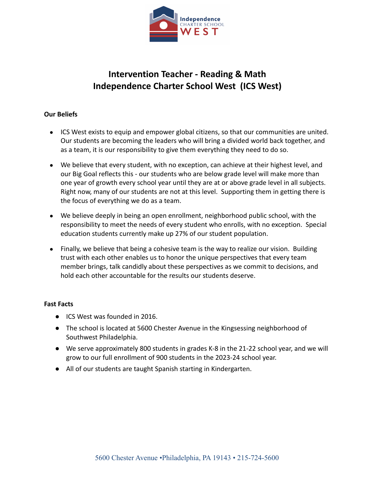

# **Intervention Teacher - Reading & Math Independence Charter School West (ICS West)**

### **Our Beliefs**

- ICS West exists to equip and empower global citizens, so that our communities are united. Our students are becoming the leaders who will bring a divided world back together, and as a team, it is our responsibility to give them everything they need to do so.
- We believe that every student, with no exception, can achieve at their highest level, and our Big Goal reflects this - our students who are below grade level will make more than one year of growth every school year until they are at or above grade level in all subjects. Right now, many of our students are not at this level. Supporting them in getting there is the focus of everything we do as a team.
- We believe deeply in being an open enrollment, neighborhood public school, with the responsibility to meet the needs of every student who enrolls, with no exception. Special education students currently make up 27% of our student population.
- Finally, we believe that being a cohesive team is the way to realize our vision. Building trust with each other enables us to honor the unique perspectives that every team member brings, talk candidly about these perspectives as we commit to decisions, and hold each other accountable for the results our students deserve.

#### **Fast Facts**

- ICS West was founded in 2016.
- The school is located at 5600 Chester Avenue in the Kingsessing neighborhood of Southwest Philadelphia.
- We serve approximately 800 students in grades K-8 in the 21-22 school year, and we will grow to our full enrollment of 900 students in the 2023-24 school year.
- All of our students are taught Spanish starting in Kindergarten.